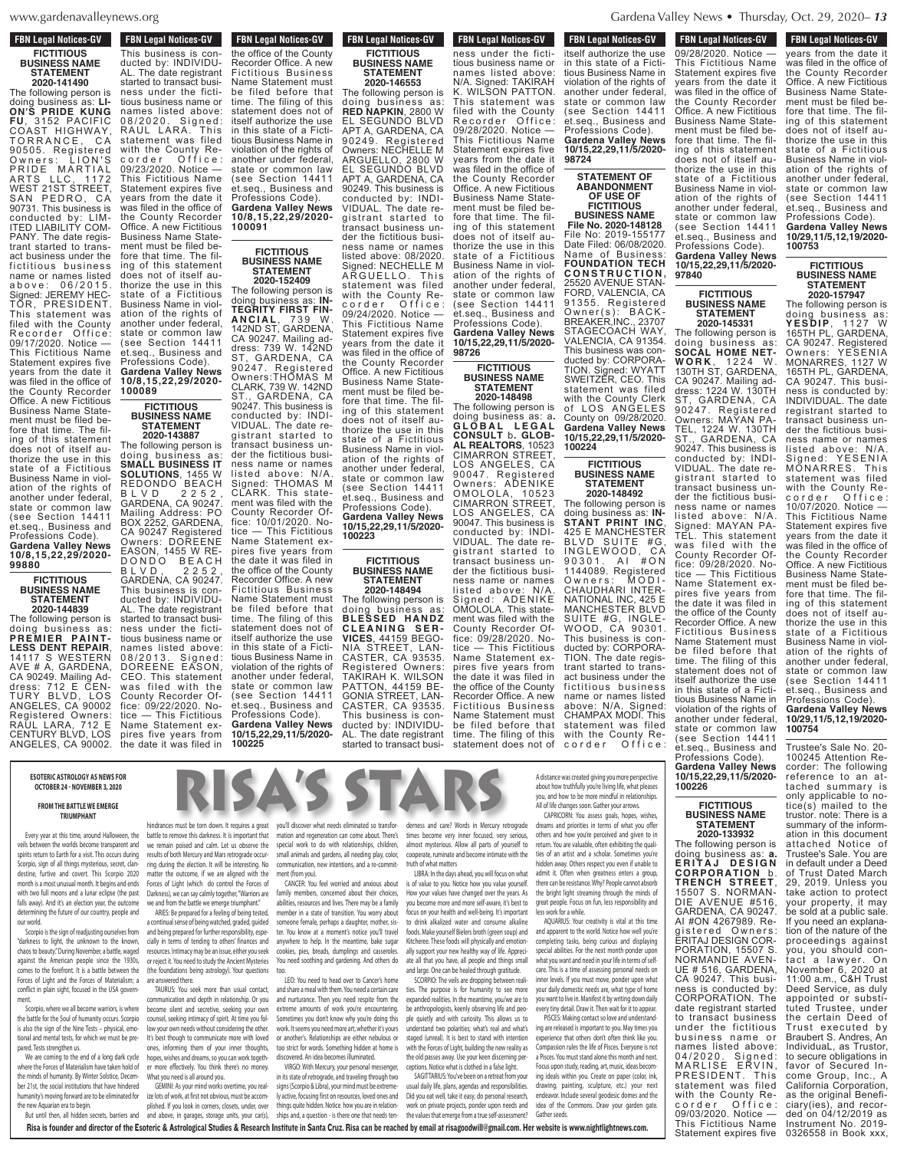$PWS. OYQ$  $\mathcal{L}$ 

## **FBN Legal Notices-GV FICTITIOUS BUSINESS NAME STATEMENT**

**2020-141490** The following person is doing business as: **LI-ON'S PRIDE KUNG** FU, 3152 PACIFIC<br>COAST HIGHWAY, COAST HIGHWAY, TORRANCE, CA 90505. Registered Owners: LION'S PRIDE MARTIAL ARTS LLC, 1172 WEST 21ST STREET, SAN PEDRO, CA 90731. This business is conducted by: LIM-ITED LIABILITY COM-PANY. The date registrant started to transact business under the fictitious business name or names listed<br>above: 06/2015 a b o v e : 0 6 / 2 0 1 5 . Signed: JEREMY HEC-TOR, PRESIDENT. This statement was filed with the County<br>Recorder Office: Recorder Office: 09/17/2020. Notice — This Fictitious Name Statement expires five years from the date it was filed in the office of the County Recorder Office. A new Fictitious Business Name Statement must be filed before that time. The filing of this statement does not of itself authorize the use in this state of a Fictitious Business Name in violation of the rights of another under federal, state or common law (see Section 14411 et.seq., Business and

Professions Code). **Gardena Valley News 10/8,15,22,29/2020- 99880**

> **FICTITIOUS BUSINESS NAME STATEMENT 2020-144839**

The following person is doing business as: **P R E M IE R P A I N T-LESS DENT REPAIR**, 14117 S WESTERN AVE # A, GARDENA, CA 90249. Mailing Address: 712 E CEN-TURY BLVD, LOS ANGELES, CA 90002 Registered Owners: RAUL LARA, 712 E CENTURY BLVD, LOS ANGELES, CA 90002.

ducted by: Individual by: Individual by:

**FBN Legal Notices-GV TEN LEGAL NUMBERS-CIV** This business is conducted by: INDIVIDU-AL. The date registrant started to transact business under the fictitious business name or names listed above:<br>08/2020 Signed: Signed:<br>RA. This RAUL LARA. statement was filed with the County Recorder Office: 09/23/2020. Notice — This Fictitious Name Statement expires five years from the date it was filed in the office of the County Recorder Office. A new Fictitious Business Name Statement must be filed before that time. The filing of this statement does not of itself authorize the use in this state of a Fictitious Business Name in violation of the rights of another under federal, state or common law

(see Section 14411 et.seq., Business and Professions Code). **Gardena Valley News 10/8,15,22,29/2020-**

**FICTITIOUS BUSINESS NAME STATEMENT 2020-143887** The following person is doing business as: **SMALL BUSINESS IT SOLUTIONS**, 1455 W REDONDO BEACH B L V D 2 2 5 2 , GARDENA, CA 90247. Mailing Address: PO BOX 2252, GARDENA, CA 90247 Registered Owners: DOREENE **EASON, 1455 W RE** D O N D O B E A C H B L V D , 2 2 5 2 , GARDENA, CA 90247. This business is conducted by: INDIVIDU-AL. The date registrant started to transact business under the fictitious business name or names listed above<br>08/2013 Signed

**100089**

**FBN Legal Notices-GV THE DATE CALCULATE IN EXAMPLE 25 THE UPPER** the office of the County Recorder Office. A new Fictitious Business Name Statement must be filed before that time. The filing of this statement does not of itself authorize the use in this state of a Fictitious Business Name in violation of the rights of another under federal, state or common law (see Section 14411 et.seq., Business and Professions Code). **Gardena Valley News 10/8,15,22,29/2020- 100091**

#### **FICTITIOUS BUSINESS NAME STATEMENT 2020-152409**

The following person is doing business as: **IN-TEGRITY FIRST FIN-A N C I A L** , 7 3 9 W . 142ND ST, GARDENA, CA 90247. Mailing address: 739 W. 142ND ST, GARDENA, CA 90247. Registered Owners:THOMAS M CLARK, 739 W. 142ND ST., GARDENA, CA 90247. This business is conducted by: INDI-VIDUAL. The date registrant started to transact business under the fictitious business name or names listed above: N/A. Signed: THOMAS M CLARK. This statement was filed with the County Recorder Office: 10/01/2020. No-<br>tice — This Fictitious tice — This Fictitious Name Statement expires five years from the date it was filed in the office of the County Recorder Office. A new Fictitious Business Name Statement must be filed before that time. The filing of this statement does not of itself authorize the use in this state of a Fictitious Business Name in violation of the rights of another under federal, state or common law (see Section 14411 et.seq., Business and Professions Code). **Gardena Valley News 10/15,22,29,11/5/2020- 100225**

**FBN Legal Notices-GV FICTITIOUS BUSINESS NAME STATEMENT 2020-146553**

The following person is doing business as: **RED NAPKIN**, 2800 W EL SEGUNDO BLVD APT A, GARDENA, CA 90249. Registered Owners: NECHELLE M ARGUELLO, 2800 W EL SEGUNDO BLVD APT A, GARDENA, CA 90249. This business is conducted by: INDI-VIDUAL. The date registrant started to transact business under the fictitious business name or names listed above: 08/2020. Signed: NECHELLE M ARGUELLO. This<br>statement was filed statement was filed with the County Recorder Office: 09/24/2020. Notice — This Fictitious Name Statement expires five years from the date it was filed in the office of the County Recorder Office. A new Fictitious Business Name Statement must be filed before that time. The filing of this statement does not of itself authorize the use in this state of a Fictitious Business Name in violation of the rights of another under federal, state or common law (see Section 14411 et.seq., Business and Professions Code).

**Gardena Valley News 10/15,22,29,11/5/2020- 100223**

**FICTITIOUS BUSINESS NAME STATEMENT 2020-148494**

The following person is doing business as: **BLESSED HANDZ C L E A N I N G S E R - VICES**, 44159 BEGO-NIA STREET, LAN-CASTER, CA 93535. Registered Owners: TAKIRAH K. WILSON PATTON, 44159 BE-GONIA STREET, LAN-CASTER, CA 93535. This business is con-

**98724 FON LEGAL NULLES-GV** ness under the fictitious business name or names listed above N/A. Signed: TAKIRAH K. WILSON PATTON. This statement was filed with the County<br>Recorder Office Recorder Office: 09/28/2020. Notice — This Fictitious Name Statement expires five years from the date it was filed in the office of the County Recorder Office. A new Fictitious Business Name Statement must be filed before that time. The filing of this statement does not of itself authorize the use in this state of a Fictitious Business Name in violation of the rights of another under federal, state or common law (see Section 14411 et.seq., Business and Professions Code). **Gardena Valley News**

**FBN Legal Notices-GV** 

**BUSINESS NAME STATEMENT**

The following person is doing business as: a**. G L O B A L L E G A L CONSULT** b**. GLOB-AL REALTORS**, 10523 CIMARRON STREET, LOS ANGELES, CA 90047. Registered Owners: ADENIKE O M OLOLA, 1 0 5 2 3 CIMARRON STREET, LOS ANGELES, CA 90047. This business is conducted by: INDI-VIDUAL. The date registrant started to transact business under the fictitious business name or names listed above: N/A. Signed: ADENIKE OMOLOLA. This statement was filed with the County Recorder Office: 09/28/2020. Notice — This Fictitious Name Statement expires five years from the date it was filed in the office of the County Recorder Office. A new Fictitious Business Name Statement must be filed before that time. The filing of this

www.gardenavalleynews.org **Gardena Valley News • Thursday, Oct. 29, 2020**– 13  $0,000$  2010 10 ley News • Thursda  $s<sub>j</sub>$  . The mass filed was finite wavelength was finite wavelength  $s<sub>j</sub>$ name Statement Must be Statement must be a *Cardena* V  $\sum_{n=1}^{\infty}$ 

**FBN Legal Notices-GV** 

**FON LEGAL NULLES-GV** years from the date it was filed in the office of the County Recorder Office. A new Fictitious Business Name Statement must be filed before that time. The filing of this statement does not of itself authorize the use in this state of a Fictitious Business Name in violation of the rights of another under federal, state or common law (see Section 14411 et.seq., Business and Professions Code). **Gardena Valley News 10/29,11/5,12,19/2020-**

**100753**

**FICTITIOUS BUSINESS NAME STATEMENT 2020-157947** The following person is<br>doing business as: doing business as: **YES D IP**, 1 1 2 7 W 165TH PL, GARDENA, CA 90247. Registered Owners: YESENIA MONARRES, 1127 W 165TH PL, GARDENA, CA 90247. This business is conducted by: INDIVIDUAL. The date registrant started to transact business under the fictitious business name or names listed above: N/A. Signed: YESENIA MONARRES. This statement was filed with the County Recorder Office: 10/07/2020. Notice — This Fictitious Name Statement expires five years from the date it was filed in the office of the County Recorder Office. A new Fictitious Business Name Statement must be filed before that time. The filing of this statement does not of itself authorize the use in this state of a Fictitious Business Name in violation of the rights of another under federal,

**FBN Legal Notices-GV** r div leyal nulles-dv 09/28/2020. Notice — This Fictitious Name Statement expires five years from the date it was filed in the office of the County Recorder Office. A new Fictitious Business Name Statement must be filed before that time. The filing of this statement does not of itself authorize the use in this state of a Fictitious Business Name in violation of the rights of another under federal, state or common law (see Section 14411 et.seq., Business and Professions Code). **FBN Legal Notices-GV FON LEGAL NOTICES-CIV** itself authorize the use in this state of a Fictitious Business Name in violation of the rights of another under federal, state or common law (see Section 14411 et.seq., Business and Professions Code). **Gardena Valley News 10/15,22,29,11/5/2020- STATEMENT OF ABANDONMENT BUSINESS NAME File No. 2020-148128** File No: 2019-155177 Date Filed: 06/08/2020. Name of Business:

**OF USE OF FICTITIOUS**

**FOUNDATION TECH C O N S T R U C T I O N ,** 25520 AVENUE STAN-FORD, VALENCIA, CA 91355. Registered

> **FICTITIOUS BUSINESS NAME STATEMENT 2020-148492**

**Gardena Valley News 10/15,22,29,11/5/2020- 97840**

> **FICTITIOUS BUSINESS NAME STATEMENT**

**2020-145331** The following person is doing business as: **SOCAL HOME NET-W O R K** , 1 2 2 4 W . 130TH ST, GARDENA, CA 90247. Mailing address: 1224 W. 130TH ST, GARDENA, CA 90247. Registered Owners: MAYAN PA-TEL, 1224 W. 130TH ST., GARDENA, CA 90247. This business is conducted by: INDI-VIDUAL. The date registrant started to transact business under the fictitious business name or names listed above: N/A. Signed: MAYAN PA-TEL. This statement was filed with the County Recorder Office: 09/28/2020. Notice — This Fictitious Name Statement expires five years from the date it was filed in the office of the County Recorder Office. A new Fictitious Business Name Statement must be filed before time. The filing of this statement does not of itself authorize the use in this state of a Fictitious Business Name in violation of the rights of another under federal, state or common law (see Section 14411 et.seq., Business and

Professions Code). **Gardena Valley News 10/15,22,29,11/5/2020- 100226**

### **FICTITIOUS BUSINESS NAME STATEMENT 2020-133932**

The following person is doing business as: **a. E R I T A J D E S I G N CORPORATION** b. **TRENCH STREET**, 15507 S. NORMAN-DIE AVENUE #516, GARDENA, CA 90247. AI #ON 4267989. Registered Owners: ERITAJ DESIGN COR-PORATION, 15507 S. NORMANDIE AVEN-UE # 516, GARDENA, CA 90247. This business is conducted by: CORPORATION. The date registrant started to transact business under the fictitious business name or names listed above:<br>04/2020. Signed:<br>MARLISE ERVIN, 04/2020. Signed: MARLISE ERVIN, PRESIDENT. This statement was filed with the County Recorder Office: 09/03/2020. Notice — This Fictitious Name Statement expires five

state or common law (see Section 14411 et.seq., Business and Professions Code). **Gardena Valley News 10/29,11/5,12,19/2020- 100754** Trustee's Sale No. 20- 100245 Attention Recorder: The following reference to an attached summary is only applicable to notice(s) mailed to the trustor. note: There is a summary of the information in this document attached Notice of Trustee's Sale. You are in default under a Deed Trust Dated March 29, 2019. Unless you take action to protect your property, it may be sold at a public sale. If you need an explanation of the nature of the proceedings against you, you should contact a lawyer. On November 6, 2020 at 11:00 a.m., C&H Trust Deed Service, as duly appointed or substituted Trustee, under the certain Deed of Trust executed by Braubert S. Andres, An IndividuaL, as Trustor, to secure obligations in<br>favor of Secured Infavor of Secured In-<br>come Group, Inc., A California Corporation, as the original Beneficiary(ies), and recorded on 04/12/2019 as Instrument No. 2019- 0326558 in Book xxx,

#### **ESOTERIC ASTROLOGY AS NEWS FOR**  $\overline{0}$   $\overline{0}$   $\overline{0}$   $\overline{1}$   $\overline{0}$   $\overline{0}$   $\overline{0}$   $\overline{0}$   $\overline{0}$   $\overline{0}$   $\overline{0}$   $\overline{0}$   $\overline{0}$   $\overline{0}$   $\overline{0}$   $\overline{0}$   $\overline{0}$   $\overline{0}$   $\overline{0}$   $\overline{0}$   $\overline{0}$   $\overline{0}$   $\overline{0}$   $\overline{0}$   $\overline{$ **OCTOBER 24 - NOVEMBER 3, 2020**<br> **CO**

#### **FROM THE BATTLE WE EMERGE** names **TRIUMPHANT**  $\frac{1}{2}$   $\frac{1}{2}$   $\frac{1}{2}$   $\frac{1}{2}$   $\frac{1}{2}$   $\frac{1}{2}$   $\frac{1}{2}$   $\frac{1}{2}$   $\frac{1}{2}$   $\frac{1}{2}$   $\frac{1}{2}$   $\frac{1}{2}$   $\frac{1}{2}$   $\frac{1}{2}$   $\frac{1}{2}$   $\frac{1}{2}$   $\frac{1}{2}$   $\frac{1}{2}$   $\frac{1}{2}$   $\frac{1}{2}$   $\frac{1}{2}$   $\frac{1}{2}$

Every year at this time, around Halloween, the veils between the worlds become transparent and spirits return to Earth for a visit. This occurs during spines return to Eurinor a visit. This occurs during<br>Scorpio, sign of all things mysterious, secret, clandestine, furtive and covert. This Scorpio 2020 month is a most unusual month. It begins and ends with two full moons and a lunar eclipse (the past falls away). And it's an election year, the outcome  $\int$  data away). And its an election year, a determining the future of our country, people and<br>|- our world our world.

**1000**<br>Scorpio is the sign of readjusting ourselves from and Business Name State-"darkness to light, the unknown to the known, chaos to beauty." During November, a battle, waged against the American people since the 1930s, If a battle between the forefront. It is a battle between the Forces to the forenom: it is a battle between the Forces of Eight and the Forces of the conflict in plain sight, focused in the USA govern-<br>ment ment.

Scorpio, where we all become warriors, is where the battle for the Soul of humanity occurs. Scorpio is also the sign of the Nine Tests – physical, emotional and mental tests, for which we must be premarket and memarketed, for which we have

parca: icsis sucriginentus.<br>We are coming to the end of a long dark cycle **Professions Committee Condensation** where the Forces of Materialism have taken hold of **Gardena** *Gardena College S G Materialism have taken hold of the minds of humanity. By Winter Solstice, Decem-***10.8 10.11.12.12.13 10.11.12.13.12.13.12.13.12.13.12.13.12.13.12.13.12.13.12.13.12.13.12.13.12.13.12.13.12.13.12.13.12.13.12.13.12.13.12.13.12.13.12.13.12.13.12.13.12.13.12.13.12.13.12.13.12.13.12.13.12.13.12.13.12.13 1000 213ty the social institutions that have imidered** the new Aquarian era to begin.

hindrances must be torn down. It requires a great in the above this darkness. It is important that en, the busine to remove this darkness. It is important that Evidence We remain poised and canni. Let us observe the example is a contribution of the election. It will be interesting. No er, clair and all matter the outcome, if we are aligned with the of 2020 Infinited the outcome, if we are angiled with the the past Darkness), we can say calmly together, "Warriors are re past *Danknessy*, we can say cannify together, warnors

Signed:

DOREENE EASON, CEO. This statement was filed with the County Recorder Office:  $09/22/2020$ . No-<br>tice — This Fictitious This Fictitious Name Statement expires five years from the date it was filed in Recorder Office. A new  $F_{\text{F}}$   $F_{\text{F}}$   $F_{\text{F}}$   $F_{\text{F}}$   $F_{\text{F}}$   $F_{\text{F}}$   $F_{\text{F}}$   $F_{\text{F}}$   $F_{\text{F}}$   $F_{\text{F}}$   $F_{\text{F}}$   $F_{\text{F}}$   $F_{\text{F}}$   $F_{\text{F}}$   $F_{\text{F}}$   $F_{\text{F}}$   $F_{\text{F}}$   $F_{\text{F}}$   $F_{\text{F}}$   $F_{\text{F}}$   $F_{\text{F}}$   $F_{\text{F}}$  name Statement must be a statement of the statement of the statement of the statement of the statement of the <br>Statement of the statement of the statement of the statement of the statement of the statement of the statemen be filed before that time. The filing of this

**Gardena Valley News** ARIES: Be prepared for a feeling of being tested, **10/8,15,22,29/2020-** a continual sense of being watched, graded, guided and being prepared for further responsibility, especially in terms of tending to others' finances and resources. Intimacy may be an issue, either you seek or reject it. You need to study the Ancient Mysteries (the foundations being astrology). Your questions are answered there.

TAURUS: You seek more than usual contact, communication and depth in relationship. Or you become silent and secretive, seeking your own counsel, seeking intimacy of spirit. At time you follow your own needs without considering the other. It's best though to communicate more with loved ones, informing them of your inner thoughts, hopes, wishes and dreams, so you can work together more effectively. You think there's no money.

What you need is all around you. GEMINI: As your mind works overtime, you realize lots of work, at first not obvious, must be accomplished. If you look in corners, closets, under, over

But until then, all hidden secrets, barriers and and above, in garages, storage units, your car(s), Risa is founder and director of the Esoteric & Astrological Studies & Research Institute in Santa Cruz. Risa can be reached by email at risagoodwill@gmail.com. Her website is www.nightlightnews.com.

mation and regeneration can come about. There's times become mation and regeneration can come about. There's annes become special work to do with relationships, emitterity annose inspectively ginal difficult and galactis, an itecting play, color, cooperate, running and a re-commitment (from you).

rt (nom you).<br>CANCER: You feel worried and anxious about is of value to y Family members, concerned about their choices, How your value abilities, resources and lives. There may be a family you become move in the solution of the solutions. member in a state of transition. You worry about focus on your h fore the file of that time. The world about the file of the file-<br>someone female, perhaps a daughter, mother, sissomeone remale, permaps a daughter, modier, 5.5 collection and an<br>ter. You know at a moment's notice you'll travel foods. Make you anywhere to help. In the meantime, bake sugar Kitcheree. These arywhere to help: in the meantame, bake sagar interfered mest<br>cookies, pies, breads, dumplings and casseroles. ally support you Econces, pies, biedas, dampings and easseroles. This support you too.

.<br>LEO: You need to head over to Cancer's home SCORPIO: Th and share a meal with them. You need a certain care ties. The purpo state common the state of the purpose of the common results and nurturance. Inen you need respite from the expanded realit<br>extreme amounts of work you're encountering the anthropolog extreme amounts of work you're encountering. So and opposity bomeannes you don't know why you're doing ans the quite, work. It seems you need more art, whence it's yours and cristants two<br>or another's. Relationships are either nebulous or staged (unreal). In another *s*. Netationships are entries nebulous of staged (unlear).<br>too strict for words. Something hidden at home is with the Forces **98726** discovered. An idea becomes illuminated. extreme amounts of work you're encountering.

VIRGO: With Mercury, your personal messenger, in its state of retrograde, and traveling through two signs (Scorpio & Libra), your mind must be extremely active, focusing first on resources, loved ones and things quite hidden. Notice how you are in relationships and, a question - is there one that needs ten-

derness and care? Words in Mercury retrograde dreams derness and care. Words in mercury reliestings and the almost mysterious. Allow all parts of yourself to return.<sup>1</sup> Allow all parts of yourself to feeding **98724** cooperate, ruminate and become intimate with the truth of what matters

LIBRA: In the days ahead, you will focus on what acting. And others do the did that you have, an people and timigs shall and large. One can be healed through gratitude. is of value to you. Notice how you value yourself. How your values have changed over the years. As you become more and more self-aware, it's best to focus on your health and well-being. It's important to drink alkalized water and consume alkaline foods. Make yourself Bielers broth (green soup) and Kitcheree. These foods will physically and emotionally support your new healthy way of life. Appreciate all that you have, all people and things small SCORPIO: The veils are dropping between reali-

ties. The purpose is for humanity to see more expanded realities. In the meantime, you/we are to be anthropologists, keenly observing life and people quietly and with curiosity. This allows us to understand two polarities; what's real and what's staged (unreal). It is best to stand with intention with the Forces of Light, building the new reality as the old passes away. Use your keen discerning perceptions. Notice what is clothed in a false light.

SAGITTARIUS: You've been on a retreat from your usual daily life, plans, agendas and responsibilities. Did you eat well, take it easy, do personal research, work on private projects, ponder upon needs and the values that emerge from a true self-assessment?

in this state of a Fictistate of the common law of the common law of the common law of the common law of the common law of the common law of the common law of the common law of the common law of the common law of the common law of the common law ducted by: INDIVIDU-AL. The date registrant started to transact busitious business name or names listed above: N/A. Signed: TAKIRAH K. WILSON PATTON. This statement was filed with the County you'll discover what needs eliminated so transfor- derness and ca **RISA'S STARS** 

Owner(s): BACK-BREAKER,INC., 23707 STAGECOACH WAY, VALENCIA, CA 91354. This business was conducted by: CORPORA-TION. Signed: WYATT SWEITZER, CEO. This statement was filed with the County Clerk **10/15,22,29,11/5/2020- 98726 FICTITIOUS 2020-148498**

of LOS ANGELES County on 09/28/2020. **Gardena Valley News 10/15,22,29,11/5/2020- 100224** The following person is doing business as: **IN-STANT PRINT INC**, 425 E MANCHESTER BLVD SUITE #G, INGLEWOOD, CA<br>90301. AI #ON 9 0 3 0 1 . A I # O N 1144089. Registered Owners: MODI-CHAUDHARI INTER-NATIONAL INC, 425 E MANCHESTER BLVD SUITE #G, INGLE-WOOD, CA 90301. This business is conducted by: CORPORA-TION. The date registrant started to transact business under the fictitious business name or names listed above: N/A. Signed: CHAMPAX MODI. This statement was filed with the County Recorder Office: This Fictitious Name statement does not of

a distance was created giving you more perspective which the date it is created grinning you more perspective.<br>about how truthfully you're living life, what pleases was filed in the office of the office of the office of the original present when  $y_0$  and how to be more mindful in relationships. four and non-to-be-more minditer in relationships.<br>All of life changes soon. Gather your arrows. The changes seem earning that the manufacture of the SAME CORN: You assess goals, hopes, wishes, dreams and priorities in terms of what you offer

others and how you're perceived and given to in periors and not you're perceived and given to in-<br>return. You are valuable, often exhibiting the qualiing of this statement ties of an artist and a scholar. Sometimes you're nes of an anst and a sension sememnes you're<br>hidden away. Others respect you even if unable to thorize the use in this admit it. Often when greatness enters a group, statist the otten times greatiess enters a greap,<br>there can be resistance. Why? People cannot absorb the bright light streaming through the minds of arie bright hight steaming amodge the minds of great people. Todas on fail, less responsibility and

momon a mille.<br>AQUARIUS: Your creativity is vital at this time and apparent to the world. Notice how well you're et. and apparent to the world: Hotte How well you're Professions Code). special abilities. For the next month ponder upon **Gardena Valley News** what you want and need in your life in terms of self-**10/15,22,29,11/5/2020-** care. This is a time of assessing personal needs on **97840** inner levels. If you must move, ponder upon what your daily domestic needs are, what type of ho you want to live in. Manifest it by writing down daily every tiny detail. Draw it. Then wait for it to appear.

PISCES: Making contact so love and understanding are released is important to you. May times you experience that others don't often think like you. Compassion rules the life of Pisces. Everyone is not a Pisces. You must stand alone this month and next. Focus upon study, reading, art, music, ideas becoming ideals within you. Create on paper (color, ink, drawing, painting, sculpture, etc.) your next endeavor. Include several geodesic domes and the idea of the Commons. Draw your garden gate.

Gather seeds.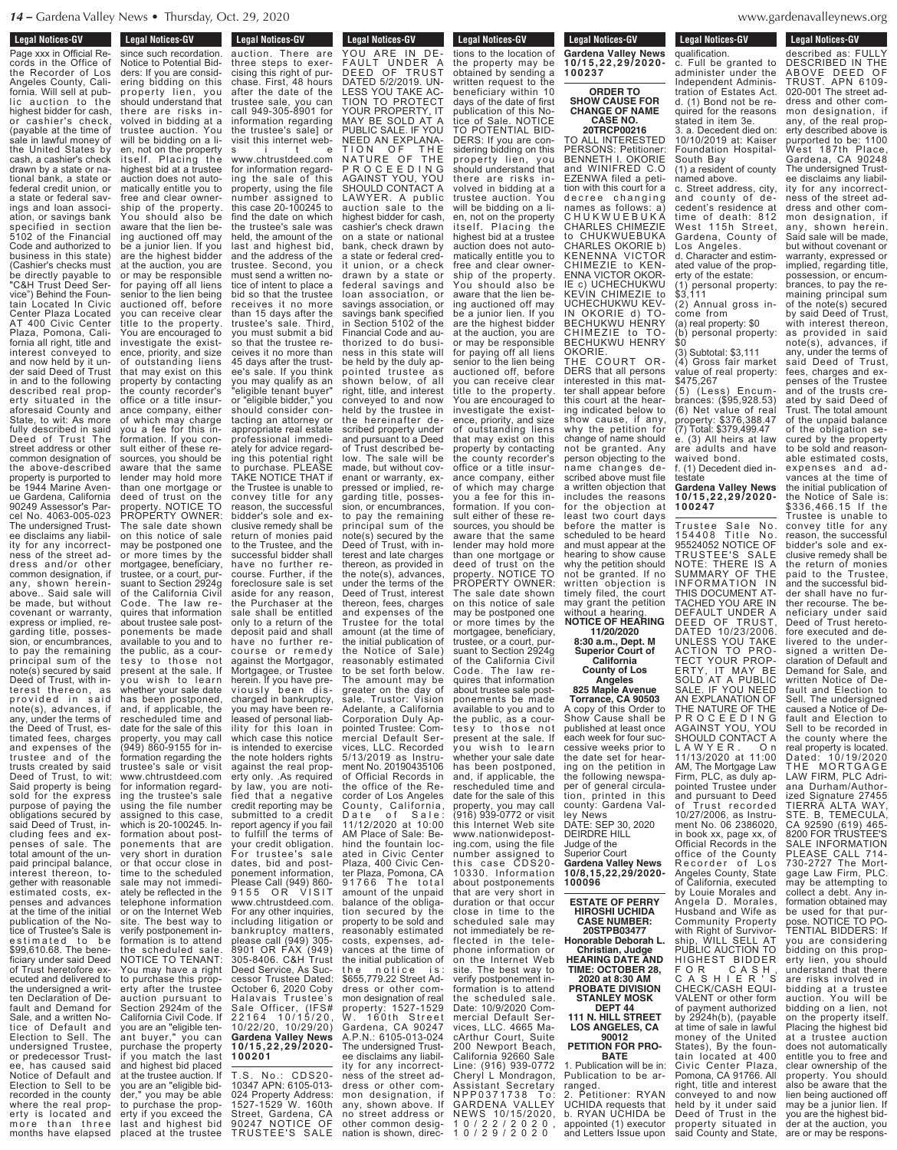**Legal Notices-GV** 

Legal Nutries-GV

#### **Legal Notices-GV** Legal Nutrices-GV Page xxx in Official Re-

cords in the Office of the Recorder of Los Angeles County, California. Will sell at public auction to the highest bidder for cash, or cashier's check, (payable at the time of sale in lawful money of the United States by cash, a cashier's check drawn by a state or national bank, a state or federal credit union, or a state or federal savings and loan association, or savings bank specified in section 5102 of the Financial Code and authorized to business in this state) (Cashier's checks must be directly payable to "C&H Trust Deed Service") Behind the Fountain Located In Civic Center Plaza Located AT 400 Civic Center Plaza, Pomona, California all right, title and interest conveyed to and now held by it under said Deed of Trust in and to the following described real property situated in the aforesaid County and State, to wit: As more fully described in said Deed of Trust The street address or other common designation of the above-described property is purported to be 1944 Marine Avenue Gardena, California 90249 Assessor's Parcel No. 4063-005-023 The undersigned Trustee disclaims any liability for any incorrectness of the street address and/or other common designation, if any, shown hereinabove.. Said sale will be made, but without covenant or warranty, express or implied, regarding title, possession, or encumbrances, to pay the remaining principal sum of the note(s) secured by said Deed of Trust, with interest thereon, as provided in said note(s), advances, if any, under the terms of the Deed of Trust, estimated fees, charges and expenses of the trustee and of the trusts created by said Deed of Trust, to wit: Said property is being sold for the express purpose of paying the obligations secured by said Deed of Trust, including fees and expenses of sale. The total amount of the unpaid principal balance, interest thereon, together with reasonable estimated costs, expenses and advances at the time of the initial publication of the Notice of Trustee's Sale is estimated to be \$99,610.68. The beneficiary under said Deed of Trust heretofore executed and delivered to the undersigned a written Declaration of Default and Demand for Sale, and a written No-<br>tice of Default and of Default and Election to Sell. The undersigned Trustee, or predecessor Trustee, has caused said Notice of Default and Election to Sell to be recorded in the county where the real property is located and months have elapsed

since such recordation.

auction. There are since such recordation. Notice to Potential Bidders: If you are considering bidding on this property lien, you should understand that there are risks involved in bidding at a trustee auction. You will be bidding on a lien, not on the property itself. Placing the highest bid at a trustee auction does not automatically entitle you to free and clear ownership of the property. You should also be aware that the lien being auctioned off may be a junior lien. If you are the highest bidder at the auction, you are or may be responsible for paying off all liens senior to the lien being auctioned off, before you can receive clear title to the property. You are encouraged to investigate the existence, priority, and size of outstanding liens that may exist on this property by contacting the county recorder's office or a title insurance company, either of which may charge you a fee for this information. If you consult either of these resources, you should be aware that the same lender may hold more than one mortgage or deed of trust on the property. NOTICE TO PROPERTY OWNER: The sale date shown on this notice of sale may be postponed one or more times by the mortgagee, beneficiary, trustee, or a court, pursuant to Section 2924g of the California Civil Code. The law requires that information about trustee sale postponements be made available to you and to the public, as a courtesy to those not present at the sale. If you wi sh to learn whether your sale date has been postponed, and, if applicable, the rescheduled time and date for the sale of this property, you may call (949) 860-9155 for information regarding the trustee's sale or visit www.chtrustdeed.com for information regarding the trustee's sale using the file number assigned to this case, which is 20-100245. Information about postponements that are very short in duration or that occur close in time to the scheduled sale may not immediately be reflected in the telephone information or on the Internet Web site. The best way to verify postponement information is to attend the scheduled sale. NOTICE TO TENANT: You may have a right to purchase this property after the trustee auction pursuant to Section 2924m of the California Civil Code. If you are an "eligible tenant buyer," you can purchase the property if you match the last and highest bid placed at the trustee auction. If you are an "eligible bidder," you may be able to purchase the prop-

three steps to exercising this right of purchase. First, 48 hours after the date of the trustee sale, you can call 949-305-8901 for information regarding the trustee's sale] or visit this internet webs i t e www.chtrustdeed.com for information regarding the sale of this property, using the file number assigned to this case 20-100245 to find the date on which the trustee's sale was held, the amount of the last and highest bid, and the address of the trustee. Second, you must send a written notice of intent to place a bid so that the trustee receives it no more than 15 days after the trustee's sale. Third, you must submit a bid so that the trustee receives it no more than 45 days after the trustee's sale. If you think you may qualify as an "eligible tenant buyer" or "eligible bidder," you should consider contacting an attorney or appropriate real estate professional immediately for advice regarding this potential right to purchase. PLEASE TAKE NOTICE THAT if the Trustee is unable to convey title for any reason, the successful bidder's sole and exclusive remedy shall be return of monies paid to the Trustee, and the successful bidder shall have no further recourse. Further, if the foreclosure sale is set aside for any reason, the Purchaser at the sale shall be entitled only to a return of the deposit paid and shall have no further recourse or remedy against the Mortgagor, Mortgagee, or Trustee herein. If you have previously been discharged in bankruptcy, you may have been released of personal liability for this loan in which case this notice is intended to exercise the note holders rights against the real property only. .As required by law, you are notified that a negative credit reporting may be submitted to a credit report agency if you fail to fulfill the terms of your credit obligation.<br>For trustee's sale dates, bid and postponement information, Please Call (949) 860- 9155 OR VISIT www.chtrustdeed.com. For any other inquiries, including litigation or bankruptcy matters, please call (949) 305- 8901 OR FAX (949) 305-8406. C&H Trust Deed Service, As Successor Trustee Dated: October 6, 2020 Coby Halavais Trustee's Sale Officer, (IFS# 2 2 1 6 4 1 0 / 1 5 / 2 0 , 10/22/20, 10/29/20) **Gardena Valley News 1 0 / 1 5 , 2 2 , 2 9 / 2 0 2 0 - 1 0 0 2 0 1** T.S. No.: CDS20- 10347 APN: 6105-013- 024 Property Address: 1527-1529 W. 160th Street, Gardena, CA

90247 NOTICE OF TRUSTEE'S SALE

erty if you exceed the last and highest bid placed at the trustee auction. There are **Legal Notices-GV** 

**Legal Nutries-GV** 

**Legal Notices-GV** Legal Nutices-GV YOU ARE IN DE-WINDER A<br>OF TRUST YOU .<br>FAULT UN<br>FED OF DATED 5/2/2019. UN-LESS YOU TAKE AC-TION TO PROTECT YOUR PROPERTY, IT MAY BE SOLD AT A PUBLIC SALE. IF YOU NEED AN EXPLANA-TION OF THE NATURE OF THE P R O C E E D I N G AGAINST YOU, YOU SHOULD CONTACT A LAWYER. A public auction sale to the highest bidder for cash, cashier's check drawn on a state or national bank, check drawn by a state or federal credit union, or a check drawn by a state or federal savings and loan association, or savings association, or savings bank specified in Section 5102 of the Financial Code and authorized to do business in this state will be held by the duly appointed trustee as shown below, of all right, title, and interest conveyed to and now held by the trustee in the hereinafter described property under and pursuant to a Deed of Trust described below. The sale will be made, but without covenant or warranty, expressed or implied, regarding title, possession, or encumbrances, to pay the remaining principal sum of the note(s) secured by the Deed of Trust, with interest and late charges thereon, as provided in the note(s), advances, under the terms of the Deed of Trust, interest thereon, fees, charges and expenses of Trustee for the total amount (at the time of the initial publication of the Notice of Sale) reasonably estimated to be set forth below. The amount may be greater on the day of sale. Trustor: Vision Adelante, a California Corporation Duly Appointed Trustee: Commercial Default Services, LLC. Recorded 5/13/2019 as Instrument No. 20190435106 of Official Records in the office of the Recorder of Los Angeles County, California, Date of Sale: 11/12/2020 at 10:00 AM Place of Sale: Behind the fountain located in Civic Center Plaza, 400 Civic Center Plaza, Pomona, CA 91766 The total amount of the unpaid balance of the obligation secured by the property to be sold and reasonably estimated costs, expenses, advances at the time of the initial publication of the notice is: \$655,779.22 Street Address or other common designation of real property: 1527-1529 W. 160th Street Gardena, CA 90247 A.P.N.: 6105-013-024 The undersigned Trustee disclaims any liabil-<br>ity for any incorrectity for any incorrect- ness of the street address or other common designation, if any, shown above. If no street address or other common designation is shown, direc-

**Legal Notices-GV** Legal Nutries-div tions to the location of the property may be obtained by sending a written request to the beneficiary within 10 days of the date of first publication of this Notice of Sale. NOTICE TO POTENTIAL BID-DERS: If you are considering bidding on this property lien, you should understand that there are risks involved in bidding at a trustee auction. You will be bidding on a lien, not on the property itself. Placing the highest bid at a trustee auction does not automatically entitle you to free and clear ownership of the property. You should also be aware that the lien being auctioned off may be a junior lien. If you are the highest bidder at the auction, you are or may be responsible for paying off all liens senior to the lien being auctioned off, before you can receive clear title to the property. You are encouraged to investigate the existence, priority, and size of outstanding liens that may exist on this property by contacting the county recorder's office or a title insurance company, either of which may charge you a fee for this information. If you consult either of these resources, you should be aware that the same lender may hold more than one mortgage or deed of trust on the property. NOTICE TO PROPERTY OWNER: The sale date shown on this notice of sale may be postponed one or more times by the mortgagee, beneficiary, trustee, or a court, pursuant to Section 2924g of the California Civil Code. The law requires that information about trustee sale postponements be made available to you and to the public, as a courtesy to those not present at the sale. If you wish to learn whether your sale date has been postponed, and, if applicable, the rescheduled time and date for the sale of this property, you may call (916) 939-0772 or visit this Internet Web site www.nationwideposting.com, using the file<br>number assigned to<br>this case CDS20-<br>10330. Information about postponements that are very short in duration or that occur close in time to the scheduled sale may not immediately be reflected in the telephone information or on the Internet Web site. The best way to verify postponement information is to attend the scheduled sale. Date: 10/9/2020 Commercial Default Services, LLC. 4665 MacArthur Court, Suite 200 Newport Beach, California 92660 Sale Line: (916) 939-0772 Cheryl L Mondragon, Assistant Secretary N P P 0 3 7 1 7 3 8 T o : GARDENA VALLEY NEWS 10/15/2020, 1 0 / 2 2 / 2 0 2 0 , 1 0 / 2 9 / 2 0 2 0 **Gardena Valley News**

qualification. c. Full be granted to administer under the Independent Adminis-**Gardena Valley News 1 0 / 1 5 , 2 2 , 2 9 / 2 0 2 0 - 1 0 0 2 3 7**

### **ORDER TO SHOW CAUSE FOR CHANGE OF NAME CASE NO.**

**20TRCP00216** TO ALL INTERESTED PERSONS: Petitioner: BENNETH I. OKORIE and WINIFRED C.O EZENWA filed a petition with this court for a decree changing names as follows: a) C H U K W U E B U K A CHARLES CHIMEZIE to CHUKWUEBUKA CHARLES OKORIE b) KENENNA VICTOR CHIMEZIE to KEN-ENNA VICTOR OKOR-IE c) UCHECHUKWU KEVIN CHIMEZIE to UCHECHUKWU KEV-IN OKORIE d) TO-BECHUKWU HENRY CHIMEZIE to TO-BECHUKWU HENRY **OKORIE** 

ORONIE.<br>THE COURT OR-DERS that all persons interested in this matter shall appear before this court at the hearing indicated below to show cause, if any, why the petition for change of name should not be granted. Any person objecting to the name changes described above must file a written objection that includes the reasons for the objection at least two court days before the matter is scheduled to be heard and must appear at the hearing to show cause why the petition should not be granted. If no written objection is timely filed, the court may grant the petition without a hearing. **NOTICE OF HEARING**

**11/20/2020 8:30 a.m., Dept. M Superior Court of California County of Los Angeles**

**825 Maple Avenue Torrance, CA 90503**

A copy of this Order to Show Cause shall be published at least once each week for four successive weeks prior to the date set for hearing on the petition in the following newspaper of general circulation, printed in this county: Gardena Valley News DATE: SEP 30, 2020 DEIRDRE HILL Judge of the Superior Court **Gardena Valley News 10/8,15,22,29/2020- 100096**

**ESTATE OF PERRY HIROSHI UCHIDA CASE NUMBER: 20STPB03477**

**Honorable Deborah L. Christian, Judge HEARING DATE AND TIME: OCTOBER 28, 2020 at 8:30 AM PROBATE DIVISION**

**STANLEY MOSK DEPT 44 111 N. HILL STREET LOS ANGELES, CA 90012 PETITION FOR PRO-**

**BATE** Publication will be in: Publication to be arranged.

2. Petitioner: RYAN UCHIDA requests that b. RYAN UCHIDA be appointed (1) executor and Letters Issue upon

denavalleynews.org www.gardenavalleynews.org b. Ryan uchida berang berang berang berang berang berang berang berang berang berang berang berang berang bera<br>Berang berang berang berang berang berang berang berang berang berang berang berang berang berang berang beran

tration of Estates Act. d. (1) Bond not be required for the reasons stated in item 3e. 3. a. Decedent died on: 10/10/2019 at: Kaiser Foundation Hospital-

(1) a resident of county named above. c. Street address, city, and county of decedent's residence at time of death: 812 West 115h Street, Gardena, County of Los Angeles. d. Character and estimated value of the property of the estate (1) personal property:

(2) Annual gross in-

(3) Subtotal: \$3,111 (4) Gross fair market value of real property:

(5) (Less) Encumbrances: (\$95,928.53) (6) Net value of real property: \$376,388.47 (7) Total: \$379,499.47 e. (3) All heirs at law are adults and have waived bond. f. (1) Decedent died in-

**Gardena Valley News 1 0 / 1 5 , 2 2 , 2 9 / 2 0 2 0 -**

Trustee Sale No. 154408 Title No. 95524052 NOTICE OF TRUSTEE'S SALE NOTE: THERE IS A SUMMARY OF THE INFORMATION IN THIS DOCUMENT AT-TACHED YOU ARE IN DEFAULT UNDER A DEED OF TRUST, DATED 10/23/2006. UNLESS YOU TAKE ACTION TO PRO-TECT YOUR PROP-ERTY, IT MAY BE SOLD AT A PUBLIC SALE. IF YOU NEED AN EXPLANATION OF THE NATURE OF THE P R O C E E D I N G AGAINST YOU, YOU SHOULD CONTACT A L A W Y E R . O n 11/13/2020 at 11:00 AM, The Mortgage Law Firm, PLC, as duly appointed Trustee under and pursuant to Deed of Trust recorded 10/27/2006, as Instrument No. 06 2386020, in book xx, page xx, of Official Records in the office of the County Recorder of Los Angeles County, State of California, executed by Louie Morales and Angela D. Morales, Husband and Wife as Community Property with Right of Survivorship, WILL SELL AT PUBLIC AUCTION TO HIGHEST BIDDER F O R C A S H , C A S H I E R ' S CHECK/CASH EQUI-VALENT or other form of payment authorized by 2924h(b), (payable at time of sale in lawful money of the United States), By the fountain located at 400 Civic Center Plaza, Pomona, CA 91766. All right, title and interest conveyed to and now held by it under said Deed of Trust in the property situated in said County and State,<br>

South Bay

\$3,111

 $$0$ 

come from (a) real property: \$0 (b) personal property:

\$475,267

testate

**1 0 0 2 4 7**

**Legal Notices-GV Legal Nutries-GV** described as: FULLY **Legal Notices-GV** Legal Nutles-GV

DESCRIBED IN THE

ABOVE DEED OF TRUST. APN 6109- 020-001 The street address and other common designation, if any, of the real property described above is purported to be: 1100 West 187th Place, Gardena, CA 90248 The undersigned Trustee disclaims any liability for any incorrectness of the street address and other common designation, if any, shown herein. Said sale will be made, but without covenant or warranty, expressed or implied, regarding title, possession, or encumbrances, to pay the remaining principal sum of the note(s) secured by said Deed of Trust, with interest thereon. as provided in said note(s), advances, if any, under the terms of said Deed of Trust fees, charges and expenses of the Trustee and of the trusts created by said Deed of Trust. The total amount of the unpaid balance of the obligation secured by the property to be sold and reasonable estimated costs, expenses and advances at the time of the initial publication of the Notice of Sale is: \$336,466.15 If the Trustee is unable to convey title for any reason, the successful bidder's sole and exclusive remedy shall be the return of monies paid to the Trustee, and the successful bidder shall have no further recourse. The beneficiary under said Deed of Trust heretofore executed and delivered to the undersigned a written Declaration of Default and Demand for Sale, and written Notice of Default and Election to Sell. The undersigned caused a Notice of Default and Election to Sell to be recorded in the county where the real property is located. Dated: 10/19/2020 THE MORTGAGE LAW FIRM, PLC Adriana Durham/Authorized Signature 27455 TIERRA ALTA WAY, STE. B, TEMECULA, CA 92590 (619) 465- 8200 FOR TRUSTEE'S SALE INFORMATION PLEASE CALL 714- 730-2727 The Mortgage Law Firm, PLC. may be attempting to collect a debt. Any information obtained may be used for that purpose. NOTICE TO PO-TENTIAL BIDDERS: If you are considering bidding on this property lien, you should understand that there are risks involved in bidding at <sup>a</sup> trustee auction. You will be bidding on a lien, not on the property itself. Placing the highest bid at a trustee auction does not automatically entitle you to free and clear ownership of the property. You should also be aware that the lien being auctioned off may be a junior lien. If you are the highest bidder at the auction, you are or may be respons-